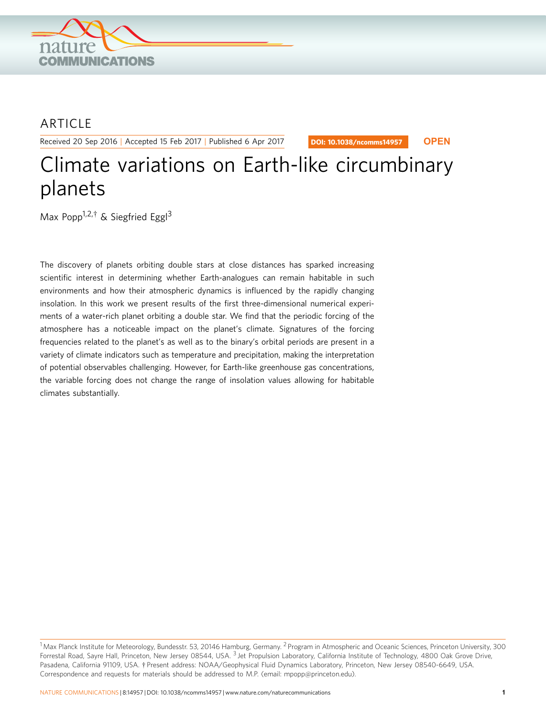

## ARTICLE

Received 20 Sep 2016 | Accepted 15 Feb 2017 | Published 6 Apr 2017

DOI: 10.1038/ncomms14957 **OPEN**

# Climate variations on Earth-like circumbinary planets

Max Popp<sup>1,2,†</sup> & Siegfried Eggl<sup>3</sup>

The discovery of planets orbiting double stars at close distances has sparked increasing scientific interest in determining whether Earth-analogues can remain habitable in such environments and how their atmospheric dynamics is influenced by the rapidly changing insolation. In this work we present results of the first three-dimensional numerical experiments of a water-rich planet orbiting a double star. We find that the periodic forcing of the atmosphere has a noticeable impact on the planet's climate. Signatures of the forcing frequencies related to the planet's as well as to the binary's orbital periods are present in a variety of climate indicators such as temperature and precipitation, making the interpretation of potential observables challenging. However, for Earth-like greenhouse gas concentrations, the variable forcing does not change the range of insolation values allowing for habitable climates substantially.

<sup>&</sup>lt;sup>1</sup> Max Planck Institute for Meteorology, Bundesstr. 53, 20146 Hamburg, Germany. <sup>2</sup> Program in Atmospheric and Oceanic Sciences, Princeton University, 300 Forrestal Road, Sayre Hall, Princeton, New Jersey 08544, USA. <sup>3</sup> Jet Propulsion Laboratory, California Institute of Technology, 4800 Oak Grove Drive, Pasadena, California 91109, USA. † Present address: NOAA/Geophysical Fluid Dynamics Laboratory, Princeton, New Jersey 08540-6649, USA. Correspondence and requests for materials should be addressed to M.P. (email: [mpopp@princeton.edu\).](mailto:mpopp@princeton.edu))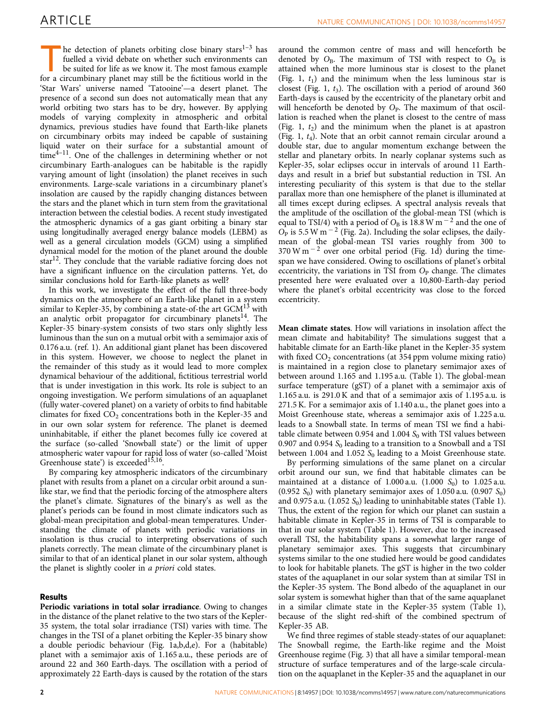The detection of planets orbiting close binary stars<sup>1-3</sup> has fuelled a vivid debate on whether such environments can be suited for life as we know it. The most famous example for a circumbinary planet may still be the fictitious world in the 'Star Wars' universe named 'Tatooine'—a desert planet. The presence of a second sun does not automatically mean that any world orbiting two stars has to be dry, however. By applying models of varying complexity in atmospheric and orbital dynamics, previous studies have found that Earth-like planets on circumbinary orbits may indeed be capable of sustaining liquid water on their surface for a substantial amount of time<sup>4-11</sup>. One of the challenges in determining whether or not circumbinary Earth-analogues can be habitable is the rapidly varying amount of light (insolation) the planet receives in such environments. Large-scale variations in a circumbinary planet's insolation are caused by the rapidly changing distances between the stars and the planet which in turn stem from the gravitational interaction between the celestial bodies. A recent study investigated the atmospheric dynamics of a gas giant orbiting a binary star using longitudinally averaged energy balance models (LEBM) as well as a general circulation models (GCM) using a simplified dynamical model for the motion of the planet around the double  $\arctan^{12}$ . They conclude that the variable radiative forcing does not have a significant influence on the circulation patterns. Yet, do similar conclusions hold for Earth-like planets as well?

In this work, we investigate the effect of the full three-body dynamics on the atmosphere of an Earth-like planet in a system similar to Kepler-35, by combining a state-of-the art  $GCM<sup>13</sup>$  with an analytic orbit propagator for circumbinary planets $14$ . The Kepler-35 binary-system consists of two stars only slightly less luminous than the sun on a mutual orbit with a semimajor axis of 0.176 a.u. ([ref. 1](#page-10-0)). An additional giant planet has been discovered in this system. However, we choose to neglect the planet in the remainder of this study as it would lead to more complex dynamical behaviour of the additional, fictitious terrestrial world that is under investigation in this work. Its role is subject to an ongoing investigation. We perform simulations of an aquaplanet (fully water-covered planet) on a variety of orbits to find habitable climates for fixed  $CO<sub>2</sub>$  concentrations both in the Kepler-35 and in our own solar system for reference. The planet is deemed uninhabitable, if either the planet becomes fully ice covered at the surface (so-called 'Snowball state') or the limit of upper atmospheric water vapour for rapid loss of water (so-called 'Moist Greenhouse state') is exceeded<sup>15,16</sup>.

By comparing key atmospheric indicators of the circumbinary planet with results from a planet on a circular orbit around a sunlike star, we find that the periodic forcing of the atmosphere alters the planet's climate. Signatures of the binary's as well as the planet's periods can be found in most climate indicators such as global-mean precipitation and global-mean temperatures. Understanding the climate of planets with periodic variations in insolation is thus crucial to interpreting observations of such planets correctly. The mean climate of the circumbinary planet is similar to that of an identical planet in our solar system, although the planet is slightly cooler in a priori cold states.

#### Results

Periodic variations in total solar irradiance. Owing to changes in the distance of the planet relative to the two stars of the Kepler-35 system, the total solar irradiance (TSI) varies with time. The changes in the TSI of a planet orbiting the Kepler-35 binary show a double periodic behaviour ([Fig. 1a,b,d,e\)](#page-2-0). For a (habitable) planet with a semimajor axis of 1.165 a.u., these periods are of around 22 and 360 Earth-days. The oscillation with a period of approximately 22 Earth-days is caused by the rotation of the stars

around the common centre of mass and will henceforth be denoted by  $O_B$ . The maximum of TSI with respect to  $O_B$  is attained when the more luminous star is closest to the planet ([Fig. 1,](#page-2-0)  $t_1$ ) and the minimum when the less luminous star is closest [\(Fig. 1](#page-2-0),  $t_3$ ). The oscillation with a period of around 360 Earth-days is caused by the eccentricity of the planetary orbit and will henceforth be denoted by  $O<sub>P</sub>$ . The maximum of that oscillation is reached when the planet is closest to the centre of mass ([Fig. 1,](#page-2-0)  $t_2$ ) and the minimum when the planet is at apastron ([Fig. 1,](#page-2-0)  $t_4$ ). Note that an orbit cannot remain circular around a double star, due to angular momentum exchange between the stellar and planetary orbits. In nearly coplanar systems such as Kepler-35, solar eclipses occur in intervals of around 11 Earthdays and result in a brief but substantial reduction in TSI. An interesting peculiarity of this system is that due to the stellar parallax more than one hemisphere of the planet is illuminated at all times except during eclipses. A spectral analysis reveals that the amplitude of the oscillation of the global-mean TSI (which is equal to TSI/4) with a period of  $O_B$  is 18.8 W m<sup>-2</sup> and the one of  $\overline{O_P}$  is 5.5 W m<sup>-2</sup> ([Fig. 2a\)](#page-3-0). Including the solar eclipses, the dailymean of the global-mean TSI varies roughly from 300 to  $370 \text{ W m}^{-2}$  over one orbital period ([Fig. 1d](#page-2-0)) during the timespan we have considered. Owing to oscillations of planet's orbital eccentricity, the variations in TSI from  $O<sub>P</sub>$  change. The climates presented here were evaluated over a 10,800-Earth-day period where the planet's orbital eccentricity was close to the forced eccentricity.

Mean climate states. How will variations in insolation affect the mean climate and habitability? The simulations suggest that a habitable climate for an Earth-like planet in the Kepler-35 system with fixed  $CO<sub>2</sub>$  concentrations (at 354 ppm volume mixing ratio) is maintained in a region close to planetary semimajor axes of between around 1.165 and 1.195 a.u. ([Table 1](#page-3-0)). The global-mean surface temperature (gST) of a planet with a semimajor axis of 1.165 a.u. is 291.0 K and that of a semimajor axis of 1.195 a.u. is 271.5 K. For a semimajor axis of 1.140 a.u., the planet goes into a Moist Greenhouse state, whereas a semimajor axis of 1.225 a.u. leads to a Snowball state. In terms of mean TSI we find a habitable climate between 0.954 and 1.004  $S_0$  with TSI values between 0.907 and 0.954  $S_0$  leading to a transition to a Snowball and a TSI between 1.004 and 1.052  $S_0$  leading to a Moist Greenhouse state.

By performing simulations of the same planet on a circular orbit around our sun, we find that habitable climates can be maintained at a distance of 1.000 a.u.  $(1.000 S<sub>0</sub>)$  to 1.025 a.u. (0.952  $S_0$ ) with planetary semimajor axes of 1.050 a.u. (0.907  $S_0$ ) and 0.975 a.u.  $(1.052 S_0)$  leading to uninhabitable states [\(Table 1](#page-3-0)). Thus, the extent of the region for which our planet can sustain a habitable climate in Kepler-35 in terms of TSI is comparable to that in our solar system ([Table 1](#page-3-0)). However, due to the increased overall TSI, the habitability spans a somewhat larger range of planetary semimajor axes. This suggests that circumbinary systems similar to the one studied here would be good candidates to look for habitable planets. The gST is higher in the two colder states of the aquaplanet in our solar system than at similar TSI in the Kepler-35 system. The Bond albedo of the aquaplanet in our solar system is somewhat higher than that of the same aquaplanet in a similar climate state in the Kepler-35 system ([Table 1](#page-3-0)), because of the slight red-shift of the combined spectrum of Kepler-35 AB.

We find three regimes of stable steady-states of our aquaplanet: The Snowball regime, the Earth-like regime and the Moist Greenhouse regime ([Fig. 3\)](#page-4-0) that all have a similar temporal-mean structure of surface temperatures and of the large-scale circulation on the aquaplanet in the Kepler-35 and the aquaplanet in our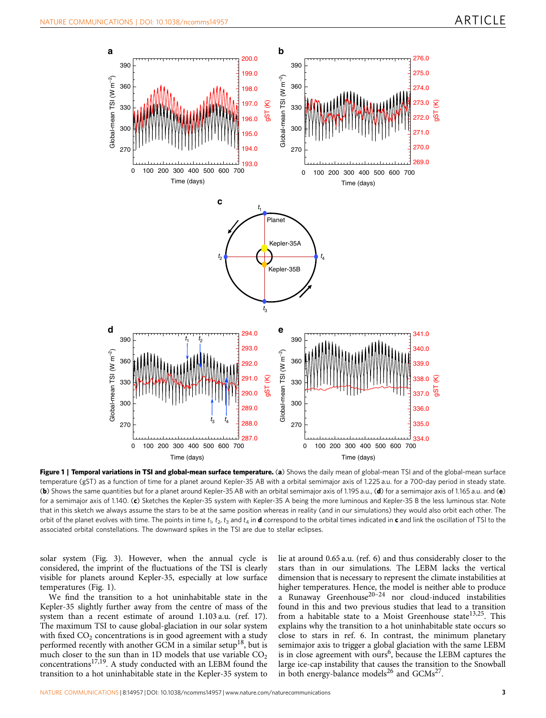<span id="page-2-0"></span>

Figure 1 | Temporal variations in TSI and global-mean surface temperature. (a) Shows the daily mean of global-mean TSI and of the global-mean surface temperature (gST) as a function of time for a planet around Kepler-35 AB with a orbital semimajor axis of 1.225 a.u. for a 700-day period in steady state. (b) Shows the same quantities but for a planet around Kepler-35 AB with an orbital semimajor axis of 1.195 a.u., (d) for a semimajor axis of 1.165 a.u. and (e) for a semimajor axis of 1.140. (c) Sketches the Kepler-35 system with Kepler-35 A being the more luminous and Kepler-35 B the less luminous star. Note that in this sketch we always assume the stars to be at the same position whereas in reality (and in our simulations) they would also orbit each other. The orbit of the planet evolves with time. The points in time  $t_1$ ,  $t_2$ ,  $t_3$  and  $t_4$  in **d** correspond to the orbital times indicated in c and link the oscillation of TSI to the associated orbital constellations. The downward spikes in the TSI are due to stellar eclipses.

solar system ([Fig. 3\)](#page-4-0). However, when the annual cycle is considered, the imprint of the fluctuations of the TSI is clearly visible for planets around Kepler-35, especially at low surface temperatures (Fig. 1).

We find the transition to a hot uninhabitable state in the Kepler-35 slightly further away from the centre of mass of the system than a recent estimate of around 1.103 a.u. ([ref. 17](#page-10-0)). The maximum TSI to cause global-glaciation in our solar system with fixed  $CO<sub>2</sub>$  concentrations is in good agreement with a study performed recently with another GCM in a similar setup<sup>[18](#page-10-0)</sup>, but is much closer to the sun than in 1D models that use variable  $CO<sub>2</sub>$ concentrations<sup>17,19</sup>. A study conducted with an LEBM found the transition to a hot uninhabitable state in the Kepler-35 system to lie at around 0.65 a.u. ([ref. 6\)](#page-10-0) and thus considerably closer to the stars than in our simulations. The LEBM lacks the vertical dimension that is necessary to represent the climate instabilities at higher temperatures. Hence, the model is neither able to produce a Runaway Greenhouse $20-24$  nor cloud-induced instabilities found in this and two previous studies that lead to a transition from a habitable state to a Moist Greenhouse state<sup>[13,25](#page-10-0)</sup>. This explains why the transition to a hot uninhabitable state occurs so close to stars in [ref. 6](#page-10-0). In contrast, the minimum planetary semimajor axis to trigger a global glaciation with the same LEBM is in close agreement with ours<sup>[6](#page-10-0)</sup>, because the LEBM captures the large ice-cap instability that causes the transition to the Snowball in both energy-balance models<sup>[26](#page-11-0)</sup> and  $GCMs^{27}$ .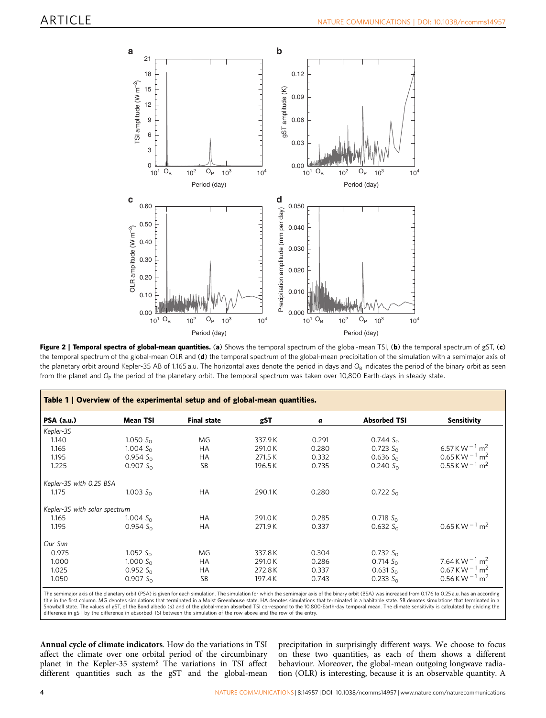<span id="page-3-0"></span>

Figure 2 | Temporal spectra of global-mean quantities. (a) Shows the temporal spectrum of the global-mean TSI, (b) the temporal spectrum of gST, (c) the temporal spectrum of the global-mean OLR and (d) the temporal spectrum of the global-mean precipitation of the simulation with a semimajor axis of the planetary orbit around Kepler-35 AB of 1.165 a.u. The horizontal axes denote the period in days and  $O_B$  indicates the period of the binary orbit as seen from the planet and  $O_P$  the period of the planetary orbit. The temporal spectrum was taken over 10,800 Earth-days in steady state.

| Table 1   Overview of the experimental setup and of global-mean quantities. |                 |                    |        |       |                     |                                   |
|-----------------------------------------------------------------------------|-----------------|--------------------|--------|-------|---------------------|-----------------------------------|
| PSA (a.u.)                                                                  | <b>Mean TSI</b> | <b>Final state</b> | gST    | a     | <b>Absorbed TSI</b> | Sensitivity                       |
| Kepler-35                                                                   |                 |                    |        |       |                     |                                   |
| 1.140                                                                       | 1.050 $S_0$     | <b>MG</b>          | 337.9K | 0.291 | $0.744 S_0$         |                                   |
| 1.165                                                                       | 1.004 $S_0$     | <b>HA</b>          | 291.0K | 0.280 | $0.723 S_0$         | 6.57 K W $^{-1}$ m <sup>2</sup>   |
| 1.195                                                                       | 0.954 $S_0$     | <b>HA</b>          | 271.5K | 0.332 | $0.636 S_0$         | $0.65$ K W $^{-1}$ m <sup>2</sup> |
| 1.225                                                                       | $0.907 S_0$     | <b>SB</b>          | 196.5K | 0.735 | $0.240 S_0$         | $0.55$ K W $^{-1}$ m <sup>2</sup> |
| Kepler-35 with 0.25 BSA                                                     |                 |                    |        |       |                     |                                   |
| 1.175                                                                       | 1.003 $S_0$     | <b>HA</b>          | 290.1K | 0.280 | $0.722 S_0$         |                                   |
| Kepler-35 with solar spectrum                                               |                 |                    |        |       |                     |                                   |
| 1.165                                                                       | 1.004 $S_0$     | <b>HA</b>          | 291.0K | 0.285 | 0.718 $S_0$         |                                   |
| 1.195                                                                       | $0.954 S_0$     | НA                 | 271.9K | 0.337 | $0.632 S_0$         | $0.65$ K W $^{-1}$ m <sup>2</sup> |
| Our Sun                                                                     |                 |                    |        |       |                     |                                   |
| 0.975                                                                       | 1.052 $S_0$     | ΜG                 | 337.8K | 0.304 | 0.732 $S_0$         |                                   |
| 1.000                                                                       | 1.000 $S_0$     | HA.                | 291.0K | 0.286 | $0.714 S_{0}$       | $7.64$ K W $^{-1}$ m <sup>2</sup> |
| 1.025                                                                       | $0.952 S_0$     | <b>HA</b>          | 272.8K | 0.337 | $0.631 S_0$         | $0.67$ K W $^{-1}$ m <sup>2</sup> |
| 1.050                                                                       | $0.907 S_0$     | SB                 | 197.4K | 0.743 | $0.233 S_0$         | $0.56$ K W $^{-1}$ m <sup>2</sup> |

The semimajor axis of the planetary orbit (PSA) is given for each simulation. The simulation for which the semimajor axis of the binary orbit (BSA) was increased from 0.176 to 0.25 a.u. has an according title in the first column. MG denotes simulations that terminated in a Moist Greenhouse state. HA denotes simulations that terminated in a habitable state. SB denotes simulations that terminated in a Snowball state. The values of gST, of the Bond albedo (a) and of the global-mean absorbed TSI correspond to the 10,800-Earth-day temporal mean. The climate sensitivity is calculated by dividing the<br>difference in gST by the

Annual cycle of climate indicators. How do the variations in TSI affect the climate over one orbital period of the circumbinary planet in the Kepler-35 system? The variations in TSI affect different quantities such as the gST and the global-mean

precipitation in surprisingly different ways. We choose to focus on these two quantities, as each of them shows a different behaviour. Moreover, the global-mean outgoing longwave radiation (OLR) is interesting, because it is an observable quantity. A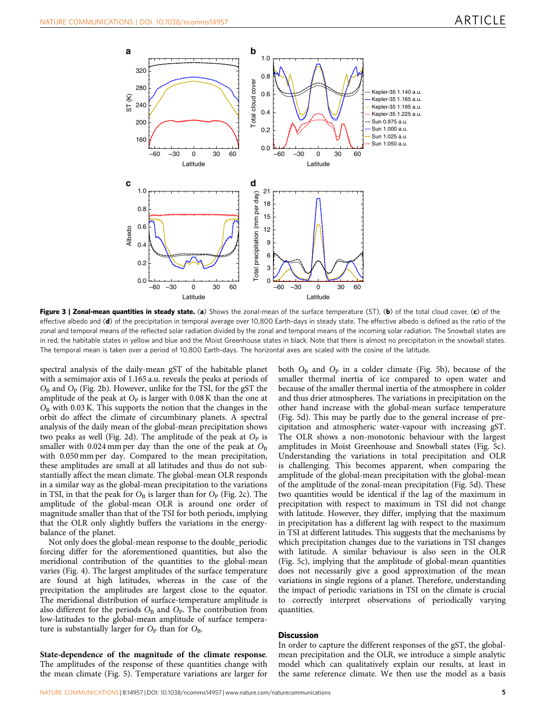<span id="page-4-0"></span>

Figure 3 | Zonal-mean quantities in steady state. (a) Shows the zonal-mean of the surface temperature (ST), (b) of the total cloud cover, (c) of the effective albedo and (d) of the precipitation in temporal average over 10,800 Earth-days in steady state. The effective albedo is defined as the ratio of the zonal and temporal means of the reflected solar radiation divided by the zonal and temporal means of the incoming solar radiation. The Snowball states are in red, the habitable states in yellow and blue and the Moist Greenhouse states in black. Note that there is almost no precipitation in the snowball states. The temporal mean is taken over a period of 10,800 Earth-days. The horizontal axes are scaled with the cosine of the latitude.

spectral analysis of the daily-mean gST of the habitable planet with a semimajor axis of 1.165 a.u. reveals the peaks at periods of  $O_B$  and  $O_P$  [\(Fig. 2b\)](#page-3-0). However, unlike for the TSI, for the gST the amplitude of the peak at  $O<sub>P</sub>$  is larger with 0.08 K than the one at  $O_B$  with 0.03 K. This supports the notion that the changes in the orbit do affect the climate of circumbinary planets. A spectral analysis of the daily mean of the global-mean precipitation shows two peaks as well [\(Fig. 2d](#page-3-0)). The amplitude of the peak at  $O<sub>P</sub>$  is smaller with 0.024 mm per day than the one of the peak at  $O_B$ with 0.050 mm per day. Compared to the mean precipitation, these amplitudes are small at all latitudes and thus do not substantially affect the mean climate. The global-mean OLR responds in a similar way as the global-mean precipitation to the variations in TSI, in that the peak for  $O_B$  is larger than for  $O_P$  [\(Fig. 2c\)](#page-3-0). The amplitude of the global-mean OLR is around one order of magnitude smaller than that of the TSI for both periods, implying that the OLR only slightly buffers the variations in the energybalance of the planet.

Not only does the global-mean response to the double\_periodic forcing differ for the aforementioned quantities, but also the meridional contribution of the quantities to the global-mean varies ([Fig. 4\)](#page-5-0). The largest amplitudes of the surface temperature are found at high latitudes, whereas in the case of the precipitation the amplitudes are largest close to the equator. The meridional distribution of surface-temperature amplitude is also different for the periods  $O_B$  and  $O_P$ . The contribution from low-latitudes to the global-mean amplitude of surface temperature is substantially larger for  $O_p$  than for  $O_p$ .

State-dependence of the magnitude of the climate response. The amplitudes of the response of these quantities change with the mean climate [\(Fig. 5\)](#page-6-0). Temperature variations are larger for both  $O_B$  and  $O_P$  in a colder climate [\(Fig. 5b\)](#page-6-0), because of the smaller thermal inertia of ice compared to open water and because of the smaller thermal inertia of the atmosphere in colder and thus drier atmospheres. The variations in precipitation on the other hand increase with the global-mean surface temperature ([Fig. 5d](#page-6-0)). This may be partly due to the general increase of precipitation and atmospheric water-vapour with increasing gST. The OLR shows a non-monotonic behaviour with the largest amplitudes in Moist Greenhouse and Snowball states [\(Fig. 5c](#page-6-0)). Understanding the variations in total precipitation and OLR is challenging. This becomes apparent, when comparing the amplitude of the global-mean precipitation with the global-mean of the amplitude of the zonal-mean precipitation [\(Fig. 5d](#page-6-0)). These two quantities would be identical if the lag of the maximum in precipitation with respect to maximum in TSI did not change with latitude. However, they differ, implying that the maximum in precipitation has a different lag with respect to the maximum in TSI at different latitudes. This suggests that the mechanisms by which precipitation changes due to the variations in TSI changes with latitude. A similar behaviour is also seen in the OLR ([Fig. 5c\)](#page-6-0), implying that the amplitude of global-mean quantities does not necessarily give a good approximation of the mean variations in single regions of a planet. Therefore, understanding the impact of periodic variations in TSI on the climate is crucial to correctly interpret observations of periodically varying quantities.

### **Discussion**

In order to capture the different responses of the gST, the globalmean precipitation and the OLR, we introduce a simple analytic model which can qualitatively explain our results, at least in the same reference climate. We then use the model as a basis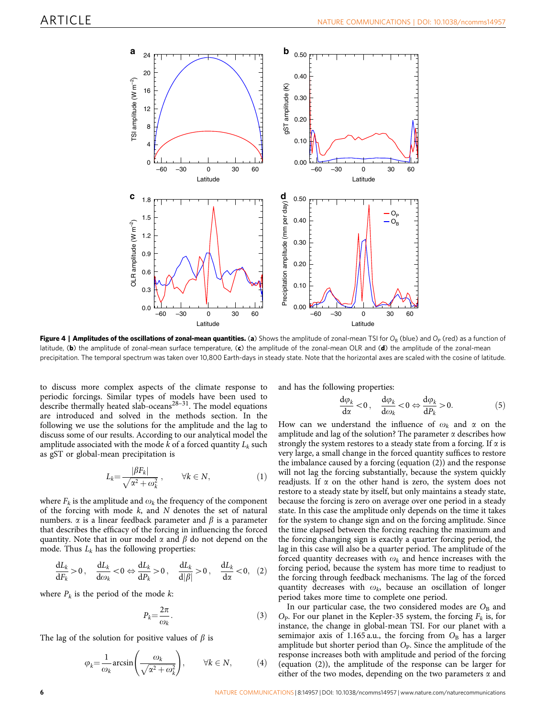<span id="page-5-0"></span>

Figure 4 | Amplitudes of the oscillations of zonal-mean quantities. (a) Shows the amplitude of zonal-mean TSI for  $O_B$  (blue) and  $O_P$  (red) as a function of latitude, (b) the amplitude of zonal-mean surface temperature, (c) the amplitude of the zonal-mean OLR and (d) the amplitude of the zonal-mean precipitation. The temporal spectrum was taken over 10,800 Earth-days in steady state. Note that the horizontal axes are scaled with the cosine of latitude.

to discuss more complex aspects of the climate response to periodic forcings. Similar types of models have been used to describe thermally heated slab-oceans<sup>28–31</sup>. The model equations are introduced and solved in the methods section. In the following we use the solutions for the amplitude and the lag to discuss some of our results. According to our analytical model the amplitude associated with the mode k of a forced quantity  $L_k$  such as gST or global-mean precipitation is

$$
L_k = \frac{|\beta F_k|}{\sqrt{\alpha^2 + \omega_k^2}}, \qquad \forall k \in N,
$$
 (1)

where  $F_k$  is the amplitude and  $\omega_k$  the frequency of the component of the forcing with mode  $k$ , and  $N$  denotes the set of natural numbers.  $\alpha$  is a linear feedback parameter and  $\beta$  is a parameter that describes the efficacy of the forcing in influencing the forced quantity. Note that in our model  $\alpha$  and  $\beta$  do not depend on the mode. Thus  $L_k$  has the following properties:

$$
\frac{dL_k}{dF_k} > 0, \quad \frac{dL_k}{d\omega_k} < 0 \Leftrightarrow \frac{dL_k}{dP_k} > 0, \quad \frac{dL_k}{d|\beta|} > 0, \quad \frac{dL_k}{d\alpha} < 0, \quad (2)
$$

where  $P_k$  is the period of the mode  $k$ :

$$
P_k = \frac{2\pi}{\omega_k}.\tag{3}
$$

The lag of the solution for positive values of  $\beta$  is

$$
\varphi_k = \frac{1}{\omega_k} \arcsin\left(\frac{\omega_k}{\sqrt{\alpha^2 + \omega_k^2}}\right), \qquad \forall k \in \mathbb{N}, \tag{4}
$$

and has the following properties:

$$
\frac{\mathrm{d}\varphi_k}{\mathrm{d}\alpha} < 0 \,, \quad \frac{\mathrm{d}\varphi_k}{\mathrm{d}\omega_k} < 0 \Leftrightarrow \frac{\mathrm{d}\varphi_k}{\mathrm{d}P_k} > 0. \tag{5}
$$

How can we understand the influence of  $\omega_k$  and  $\alpha$  on the amplitude and lag of the solution? The parameter  $\alpha$  describes how strongly the system restores to a steady state from a forcing. If  $\alpha$  is very large, a small change in the forced quantity suffices to restore the imbalance caused by a forcing (equation (2)) and the response will not lag the forcing substantially, because the system quickly readjusts. If  $\alpha$  on the other hand is zero, the system does not restore to a steady state by itself, but only maintains a steady state, because the forcing is zero on average over one period in a steady state. In this case the amplitude only depends on the time it takes for the system to change sign and on the forcing amplitude. Since the time elapsed between the forcing reaching the maximum and the forcing changing sign is exactly a quarter forcing period, the lag in this case will also be a quarter period. The amplitude of the forced quantity decreases with  $\omega_k$  and hence increases with the forcing period, because the system has more time to readjust to the forcing through feedback mechanisms. The lag of the forced quantity decreases with  $\omega_k$ , because an oscillation of longer period takes more time to complete one period.

In our particular case, the two considered modes are  $O_B$  and  $O_P$ . For our planet in the Kepler-35 system, the forcing  $F_k$  is, for instance, the change in global-mean TSI. For our planet with a semimajor axis of 1.165 a.u., the forcing from  $O_B$  has a larger amplitude but shorter period than  $O<sub>P</sub>$ . Since the amplitude of the response increases both with amplitude and period of the forcing (equation (2)), the amplitude of the response can be larger for either of the two modes, depending on the two parameters  $\alpha$  and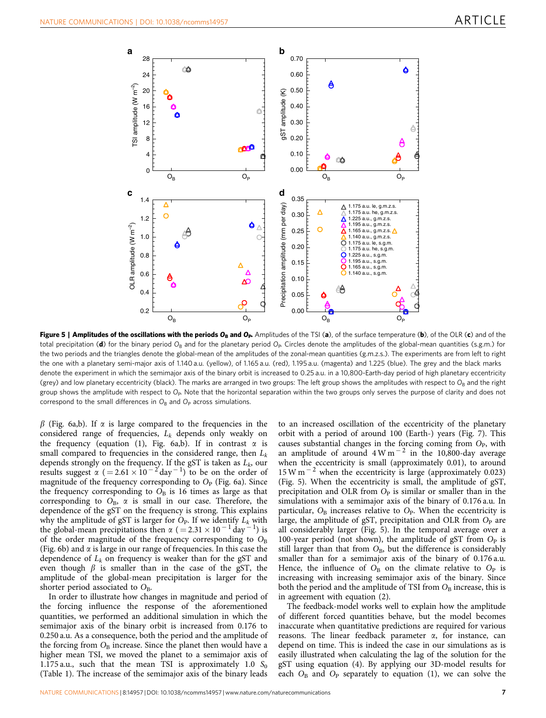<span id="page-6-0"></span>

Figure 5 | Amplitudes of the oscillations with the periods  $O_B$  and  $O_P$  Amplitudes of the TSI (a), of the surface temperature (b), of the OLR (c) and of the total precipitation (d) for the binary period O<sub>B</sub> and for the planetary period O<sub>P</sub>. Circles denote the amplitudes of the global-mean quantities (s.g.m.) for the two periods and the triangles denote the global-mean of the amplitudes of the zonal-mean quantities (g.m.z.s.). The experiments are from left to right the one with a planetary semi-major axis of 1.140 a.u. (yellow), of 1.165 a.u. (red), 1.195 a.u. (magenta) and 1.225 (blue). The grey and the black marks denote the experiment in which the semimajor axis of the binary orbit is increased to 0.25 a.u. in a 10,800-Earth-day period of high planetary eccentricity (grey) and low planetary eccentricity (black). The marks are arranged in two groups: The left group shows the amplitudes with respect to  $O_B$  and the right group shows the amplitude with respect to  $O_P$ . Note that the horizontal separation within the two groups only serves the purpose of clarity and does not correspond to the small differences in  $O_B$  and  $O_P$  across simulations.

 $\beta$  [\(Fig. 6a,b\)](#page-7-0). If  $\alpha$  is large compared to the frequencies in the considered range of frequencies,  $L_k$  depends only weakly on the frequency (equation (1), [Fig. 6a,b](#page-7-0)). If in contrast  $\alpha$  is small compared to frequencies in the considered range, then  $L_k$ depends strongly on the frequency. If the gST is taken as  $L_k$ , our results suggest  $\alpha$  (= 2.61  $\times$  10<sup>-2'</sup>day<sup>-1</sup>) to be on the order of magnitude of the frequency corresponding to  $O<sub>P</sub>$  ([Fig. 6a](#page-7-0)). Since the frequency corresponding to  $O_B$  is 16 times as large as that corresponding to  $O_B$ ,  $\alpha$  is small in our case. Therefore, the dependence of the gST on the frequency is strong. This explains why the amplitude of gST is larger for  $O_P$ . If we identify  $L_k$  with the global-mean precipitations then  $\alpha$  (=2.31 × 10<sup>-1</sup> day<sup>-1</sup>) is of the order magnitude of the frequency corresponding to  $O_B$ ([Fig. 6b](#page-7-0)) and  $\alpha$  is large in our range of frequencies. In this case the dependence of  $L_k$  on frequency is weaker than for the gST and even though  $\beta$  is smaller than in the case of the gST, the amplitude of the global-mean precipitation is larger for the shorter period associated to  $O_{\rm B}$ .

In order to illustrate how changes in magnitude and period of the forcing influence the response of the aforementioned quantities, we performed an additional simulation in which the semimajor axis of the binary orbit is increased from 0.176 to 0.250 a.u. As a consequence, both the period and the amplitude of the forcing from  $O_B$  increase. Since the planet then would have a higher mean TSI, we moved the planet to a semimajor axis of 1.175 a.u., such that the mean TSI is approximately 1.0  $S_0$ ([Table 1](#page-3-0)). The increase of the semimajor axis of the binary leads to an increased oscillation of the eccentricity of the planetary orbit with a period of around 100 (Earth-) years ([Fig. 7\)](#page-8-0). This causes substantial changes in the forcing coming from  $O<sub>P</sub>$ , with an amplitude of around  $4 \text{ W m}^{-2}$  in the 10,800-day average when the eccentricity is small (approximately 0.01), to around  $15 \text{ W m}$ <sup>-2</sup> when the eccentricity is large (approximately 0.023) (Fig. 5). When the eccentricity is small, the amplitude of gST, precipitation and OLR from  $O_P$  is similar or smaller than in the simulations with a semimajor axis of the binary of 0.176 a.u. In particular,  $O_B$  increases relative to  $O_P$ . When the eccentricity is large, the amplitude of gST, precipitation and OLR from  $O<sub>P</sub>$  are all considerably larger (Fig. 5). In the temporal average over a 100-year period (not shown), the amplitude of gST from  $O<sub>P</sub>$  is still larger than that from  $O_B$ , but the difference is considerably smaller than for a semimajor axis of the binary of 0.176 a.u. Hence, the influence of  $O_B$  on the climate relative to  $O_P$  is increasing with increasing semimajor axis of the binary. Since both the period and the amplitude of TSI from  $O_{\rm B}$  increase, this is in agreement with equation (2).

The feedback-model works well to explain how the amplitude of different forced quantities behave, but the model becomes inaccurate when quantitative predictions are required for various reasons. The linear feedback parameter  $\alpha$ , for instance, can depend on time. This is indeed the case in our simulations as is easily illustrated when calculating the lag of the solution for the gST using equation (4). By applying our 3D-model results for each  $O_B$  and  $O_P$  separately to equation (1), we can solve the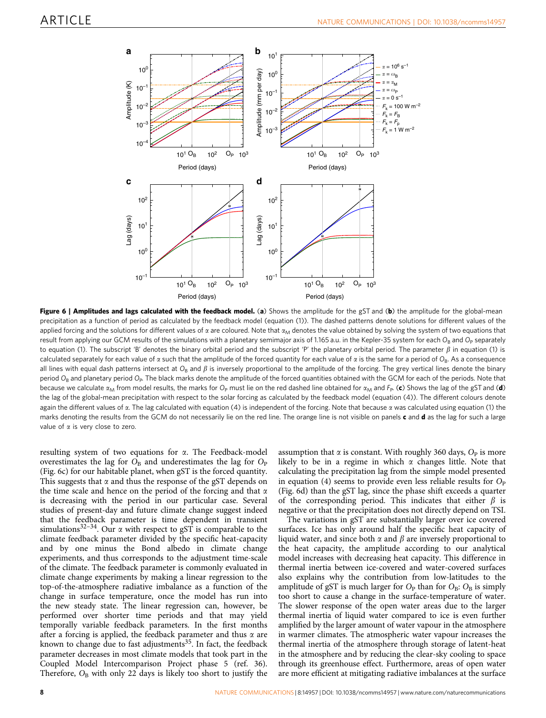<span id="page-7-0"></span>

Figure 6 | Amplitudes and lags calculated with the feedback model. (a) Shows the amplitude for the gST and (b) the amplitude for the global-mean precipitation as a function of period as calculated by the feedback model (equation (1)). The dashed patterns denote solutions for different values of the applied forcing and the solutions for different values of  $\alpha$  are coloured. Note that  $\alpha_M$  denotes the value obtained by solving the system of two equations that result from applying our GCM results of the simulations with a planetary semimajor axis of 1.165 a.u. in the Kepler-35 system for each O<sub>B</sub> and O<sub>P</sub> separately to equation (1). The subscript 'B' denotes the binary orbital period and the subscript 'P' the planetary orbital period. The parameter  $\beta$  in equation (1) is calculated separately for each value of  $\alpha$  such that the amplitude of the forced quantity for each value of  $\alpha$  is the same for a period of O<sub>B</sub>. As a consequence all lines with equal dash patterns intersect at  $O_B$  and  $\beta$  is inversely proportional to the amplitude of the forcing. The grey vertical lines denote the binary period  $O_B$  and planetary period  $O_P$ . The black marks denote the amplitude of the forced quantities obtained with the GCM for each of the periods. Note that because we calculate  $\alpha_M$  from model results, the marks for  $O_P$  must lie on the red dashed line obtained for  $\alpha_M$  and  $F_P$ . (c) Shows the lag of the gST and (d) the lag of the global-mean precipitation with respect to the solar forcing as calculated by the feedback model (equation (4)). The different colours denote again the different values of  $\alpha$ . The lag calculated with equation (4) is independent of the forcing. Note that because  $\alpha$  was calculated using equation (1) the marks denoting the results from the GCM do not necessarily lie on the red line. The orange line is not visible on panels  $c$  and  $d$  as the lag for such a large value of  $\alpha$  is very close to zero.

resulting system of two equations for  $\alpha$ . The Feedback-model overestimates the lag for  $O_B$  and underestimates the lag for  $O_P$ (Fig. 6c) for our habitable planet, when gST is the forced quantity. This suggests that  $\alpha$  and thus the response of the gST depends on the time scale and hence on the period of the forcing and that  $\alpha$ is decreasing with the period in our particular case. Several studies of present-day and future climate change suggest indeed that the feedback parameter is time dependent in transient simulations<sup>32-34</sup>. Our  $\alpha$  with respect to gST is comparable to the climate feedback parameter divided by the specific heat-capacity and by one minus the Bond albedo in climate change experiments, and thus corresponds to the adjustment time-scale of the climate. The feedback parameter is commonly evaluated in climate change experiments by making a linear regression to the top-of-the-atmosphere radiative imbalance as a function of the change in surface temperature, once the model has run into the new steady state. The linear regression can, however, be performed over shorter time periods and that may yield temporally variable feedback parameters. In the first months after a forcing is applied, the feedback parameter and thus  $\alpha$  are known to change due to fast adjustments<sup>35</sup>. In fact, the feedback parameter decreases in most climate models that took part in the Coupled Model Intercomparison Project phase 5 [\(ref. 36](#page-11-0)). Therefore,  $O_B$  with only 22 days is likely too short to justify the

assumption that  $\alpha$  is constant. With roughly 360 days,  $O<sub>P</sub>$  is more likely to be in a regime in which  $\alpha$  changes little. Note that calculating the precipitation lag from the simple model presented in equation (4) seems to provide even less reliable results for  $O<sub>P</sub>$ (Fig. 6d) than the gST lag, since the phase shift exceeds a quarter of the corresponding period. This indicates that either  $\beta$  is negative or that the precipitation does not directly depend on TSI.

The variations in gST are substantially larger over ice covered surfaces. Ice has only around half the specific heat capacity of liquid water, and since both  $\alpha$  and  $\beta$  are inversely proportional to the heat capacity, the amplitude according to our analytical model increases with decreasing heat capacity. This difference in thermal inertia between ice-covered and water-covered surfaces also explains why the contribution from low-latitudes to the amplitude of gST is much larger for  $O_P$  than for  $O_B$ :  $O_B$  is simply too short to cause a change in the surface-temperature of water. The slower response of the open water areas due to the larger thermal inertia of liquid water compared to ice is even further amplified by the larger amount of water vapour in the atmosphere in warmer climates. The atmospheric water vapour increases the thermal inertia of the atmosphere through storage of latent-heat in the atmosphere and by reducing the clear-sky cooling to space through its greenhouse effect. Furthermore, areas of open water are more efficient at mitigating radiative imbalances at the surface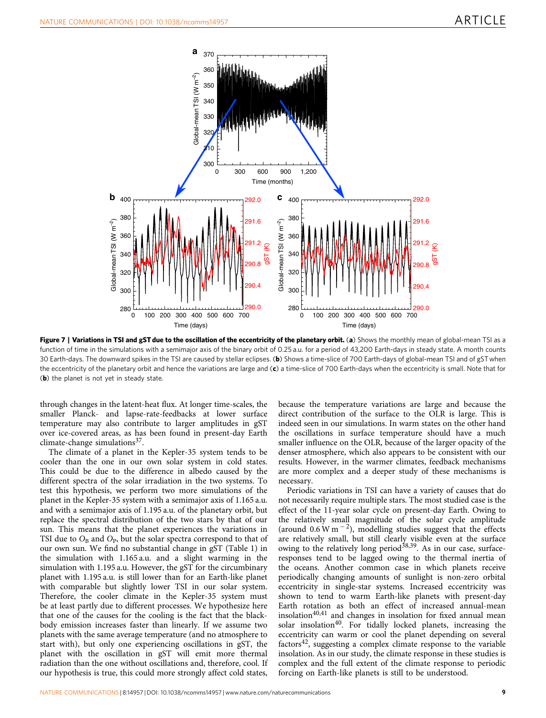<span id="page-8-0"></span>

Figure 7 | Variations in TSI and gST due to the oscillation of the eccentricity of the planetary orbit. (a) Shows the monthly mean of global-mean TSI as a function of time in the simulations with a semimajor axis of the binary orbit of 0.25 a.u. for a period of 43,200 Earth-days in steady state. A month counts 30 Earth-days. The downward spikes in the TSI are caused by stellar eclipses. (b) Shows a time-slice of 700 Earth-days of global-mean TSI and of gST when the eccentricity of the planetary orbit and hence the variations are large and  $(c)$  a time-slice of 700 Earth-days when the eccentricity is small. Note that for (b) the planet is not yet in steady state.

through changes in the latent-heat flux. At longer time-scales, the smaller Planck- and lapse-rate-feedbacks at lower surface temperature may also contribute to larger amplitudes in gST over ice-covered areas, as has been found in present-day Earth climate-change simulations $37$ .

The climate of a planet in the Kepler-35 system tends to be cooler than the one in our own solar system in cold states. This could be due to the difference in albedo caused by the different spectra of the solar irradiation in the two systems. To test this hypothesis, we perform two more simulations of the planet in the Kepler-35 system with a semimajor axis of 1.165 a.u. and with a semimajor axis of 1.195 a.u. of the planetary orbit, but replace the spectral distribution of the two stars by that of our sun. This means that the planet experiences the variations in TSI due to  $O_B$  and  $O_P$ , but the solar spectra correspond to that of our own sun. We find no substantial change in gST [\(Table 1\)](#page-3-0) in the simulation with 1.165 a.u. and a slight warming in the simulation with 1.195 a.u. However, the gST for the circumbinary planet with 1.195 a.u. is still lower than for an Earth-like planet with comparable but slightly lower TSI in our solar system. Therefore, the cooler climate in the Kepler-35 system must be at least partly due to different processes. We hypothesize here that one of the causes for the cooling is the fact that the blackbody emission increases faster than linearly. If we assume two planets with the same average temperature (and no atmosphere to start with), but only one experiencing oscillations in gST, the planet with the oscillation in gST will emit more thermal radiation than the one without oscillations and, therefore, cool. If our hypothesis is true, this could more strongly affect cold states,

because the temperature variations are large and because the direct contribution of the surface to the OLR is large. This is indeed seen in our simulations. In warm states on the other hand the oscillations in surface temperature should have a much smaller influence on the OLR, because of the larger opacity of the denser atmosphere, which also appears to be consistent with our results. However, in the warmer climates, feedback mechanisms are more complex and a deeper study of these mechanisms is necessary.

Periodic variations in TSI can have a variety of causes that do not necessarily require multiple stars. The most studied case is the effect of the 11-year solar cycle on present-day Earth. Owing to the relatively small magnitude of the solar cycle amplitude (around  $0.6 \text{ W m}^{-2}$ ), modelling studies suggest that the effects are relatively small, but still clearly visible even at the surface owing to the relatively long period<sup>[38,39](#page-11-0)</sup>. As in our case, surfaceresponses tend to be lagged owing to the thermal inertia of the oceans. Another common case in which planets receive periodically changing amounts of sunlight is non-zero orbital eccentricity in single-star systems. Increased eccentricity was shown to tend to warm Earth-like planets with present-day Earth rotation as both an effect of increased annual-mean insolation $40,41$  and changes in insolation for fixed annual mean solar insolation<sup>40</sup>. For tidally locked planets, increasing the eccentricity can warm or cool the planet depending on several factors $42$ , suggesting a complex climate response to the variable insolation. As in our study, the climate response in these studies is complex and the full extent of the climate response to periodic forcing on Earth-like planets is still to be understood.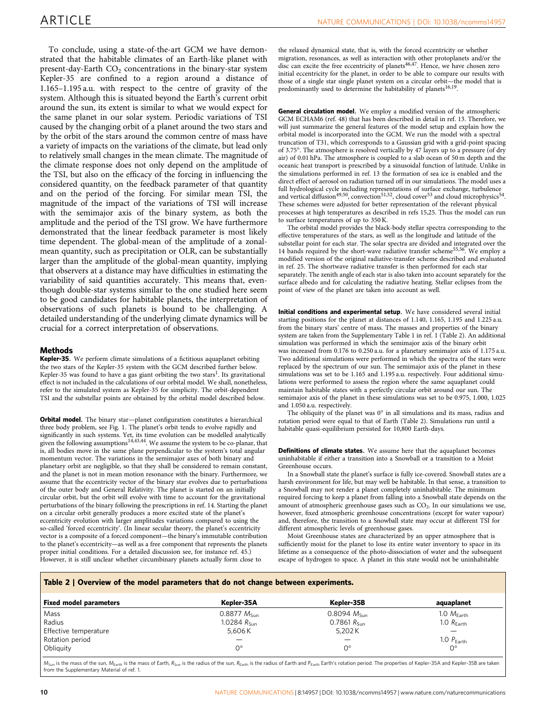To conclude, using a state-of-the-art GCM we have demonstrated that the habitable climates of an Earth-like planet with present-day-Earth  $CO<sub>2</sub>$  concentrations in the binary-star system Kepler-35 are confined to a region around a distance of 1.165–1.195 a.u. with respect to the centre of gravity of the system. Although this is situated beyond the Earth's current orbit around the sun, its extent is similar to what we would expect for the same planet in our solar system. Periodic variations of TSI caused by the changing orbit of a planet around the two stars and by the orbit of the stars around the common centre of mass have a variety of impacts on the variations of the climate, but lead only to relatively small changes in the mean climate. The magnitude of the climate response does not only depend on the amplitude of the TSI, but also on the efficacy of the forcing in influencing the considered quantity, on the feedback parameter of that quantity and on the period of the forcing. For similar mean TSI, the magnitude of the impact of the variations of TSI will increase with the semimajor axis of the binary system, as both the amplitude and the period of the TSI grow. We have furthermore demonstrated that the linear feedback parameter is most likely time dependent. The global-mean of the amplitude of a zonalmean quantity, such as precipitation or OLR, can be substantially larger than the amplitude of the global-mean quantity, implying that observers at a distance may have difficulties in estimating the variability of said quantities accurately. This means that, eventhough double-star systems similar to the one studied here seem to be good candidates for habitable planets, the interpretation of observations of such planets is bound to be challenging. A detailed understanding of the underlying climate dynamics will be crucial for a correct interpretation of observations.

#### Methods

Kepler-35. We perform climate simulations of a fictitious aquaplanet orbiting the two stars of the Kepler-35 system with the GCM described further below. Kepler-35 was found to have a gas giant orbiting the two stars<sup>1</sup>. Its gravitational effect is not included in the calculations of our orbital model. We shall, nonetheless, refer to the simulated system as Kepler-35 for simplicity. The orbit-dependent TSI and the substellar points are obtained by the orbital model described below.

**Orbital model.** The binary star-planet configuration constitutes a hierarchical three body problem, see [Fig. 1](#page-2-0). The planet's orbit tends to evolve rapidly and significantly in such systems. Yet, its time evolution can be modelled analytically<br>given the following assumptions<sup>[14,43,44](#page-10-0)</sup>. We assume the system to be co-planar, that is, all bodies move in the same plane perpendicular to the system's total angular momentum vector. The variations in the semimajor axes of both binary and planetary orbit are negligible, so that they shall be considered to remain constant, and the planet is not in mean motion resonance with the binary. Furthermore, we assume that the eccentricity vector of the binary star evolves due to perturbations of the outer body and General Relativity. The planet is started on an initially circular orbit, but the orbit will evolve with time to account for the gravitational perturbations of the binary following the prescriptions in [ref. 14](#page-10-0). Starting the planet on a circular orbit generally produces a more excited state of the planet's eccentricity evolution with larger amplitudes variations compared to using the so-called 'forced eccentricity'. (In linear secular theory, the planet's eccentricity vector is a composite of a forced component—the binary's immutable contribution to the planet's eccentricity—as well as a free component that represents the planets proper initial conditions. For a detailed discussion see, for instance [ref. 45.](#page-11-0)) However, it is still unclear whether circumbinary planets actually form close to

the relaxed dynamical state, that is, with the forced eccentricity or whether migration, resonances, as well as interaction with other protoplanets and/or the disc can excite the free eccentricity of planets<sup>46,47</sup>. Hence, we have chosen zero initial eccentricity for the planet, in order to be able to compare our results with those of a single star single planet system on a circular orbit—the model that is predominantly used to determine the habitability of planets<sup>[16,19](#page-10-0)</sup>.

General circulation model. We employ a modified version of the atmospheric GCM ECHAM6 [\(ref. 48](#page-11-0)) that has been described in detail in [ref. 13.](#page-10-0) Therefore, we will just summarize the general features of the model setup and explain how the orbital model is incorporated into the GCM. We run the model with a spectral truncation of T31, which corresponds to a Gaussian grid with a grid-point spacing of 3.75°. The atmosphere is resolved vertically by 47 layers up to a pressure (of dry air) of 0.01 hPa. The atmosphere is coupled to a slab ocean of 50 m depth and the oceanic heat transport is prescribed by a sinusoidal function of latitude. Unlike in the simulations performed in [ref. 13](#page-10-0) the formation of sea ice is enabled and the direct effect of aerosol on radiation turned off in our simulations. The model uses a full hydrological cycle including representations of surface exchange, turbulence and vertical diffusion<sup>[49,50](#page-11-0)</sup>, convection<sup>51,52</sup>, cloud cover<sup>53</sup> and cloud microphysics<sup>[54](#page-11-0)</sup>. These schemes were adjusted for better representation of the relevant physical processes at high temperatures as described in [refs 15,25](#page-10-0). Thus the model can run to surface temperatures of up to 350 K.

The orbital model provides the black-body stellar spectra corresponding to the effective temperatures of the stars, as well as the longitude and latitude of the substellar point for each star. The solar spectra are divided and integrated over the 14 bands required by the short-wave radiative transfer scheme<sup>55,56</sup>. We employ a modified version of the original radiative-transfer scheme described and evaluated in [ref. 25](#page-11-0). The shortwave radiative transfer is then performed for each star separately. The zenith angle of each star is also taken into account separately for the surface albedo and for calculating the radiative heating. Stellar eclipses from the point of view of the planet are taken into account as well.

Initial conditions and experimental setup. We have considered several initial starting positions for the planet at distances of 1.140, 1.165, 1.195 and 1.225 a.u. from the binary stars' centre of mass. The masses and properties of the binary system are taken from the Supplementary Table 1 in [ref. 1](#page-10-0) (Table 2). An additional simulation was performed in which the semimajor axis of the binary orbit was increased from 0.176 to 0.250 a.u. for a planetary semimajor axis of 1.175 a.u. Two additional simulations were performed in which the spectra of the stars were replaced by the spectrum of our sun. The semimajor axis of the planet in these simulations was set to be 1.165 and 1.195 a.u. respectively. Four additional simulations were performed to assess the region where the same aquaplanet could maintain habitable states with a perfectly circular orbit around our sun. The semimajor axis of the planet in these simulations was set to be 0.975, 1.000, 1.025 and 1.050 a.u. respectively.

The obliquity of the planet was  $0^{\circ}$  in all simulations and its mass, radius and rotation period were equal to that of Earth (Table 2). Simulations run until a habitable quasi-equilibrium persisted for 10,800 Earth-days.

Definitions of climate states. We assume here that the aquaplanet becomes uninhabitable if either a transition into a Snowball or a transition to a Moist Greenhouse occurs.

In a Snowball state the planet's surface is fully ice-covered. Snowball states are a harsh environment for life, but may well be habitable. In that sense, a transition to a Snowball may not render a planet completely uninhabitable. The minimum required forcing to keep a planet from falling into a Snowball state depends on the amount of atmospheric greenhouse gases such as CO<sub>2</sub>. In our simulations we use, however, fixed atmospheric greenhouse concentrations (except for water vapour) and, therefore, the transition to a Snowball state may occur at different TSI for different atmospheric levels of greenhouse gases.

Moist Greenhouse states are characterized by an upper atmosphere that is sufficiently moist for the planet to lose its entire water inventory to space in its lifetime as a consequence of the photo-dissociation of water and the subsequent escape of hydrogen to space. A planet in this state would not be uninhabitable

#### Table 2 | Overview of the model parameters that do not change between experiments.

| Fixed model parameters | Kepler-35A              | Kepler-35B              | aquaplanet             |
|------------------------|-------------------------|-------------------------|------------------------|
| Mass                   | $0.8877 M_{\rm Sun}$    | $0.8094\ M_{\rm Sun}$   | $1.0 M_{Earth}$        |
| Radius                 | 1.0284 $R_{\text{Sun}}$ | $0.7861 R_{\text{Sun}}$ | 1.0 $R_{\text{Earth}}$ |
| Effective temperature  | 5,606K                  | 5,202K                  |                        |
| Rotation period        |                         | -                       | 1.0 $P_{Earth}$        |
| Obliquity              | $0^{\circ}$             | ∩∘                      | $0^{\circ}$            |
|                        |                         |                         |                        |

 $M_{Sun}$  is the mass of the sun,  $M_{Earth}$  is the mass of Earth,  $R_{Sun}$  is the radius of the sun,  $R_{Earth}$ ; is the radius of Earth and P<sub>Earth</sub> Earth's rotation period. The properties of Kepler-35A and Kepler-35B are taken from the Supplementary Material of [ref. 1](#page-10-0)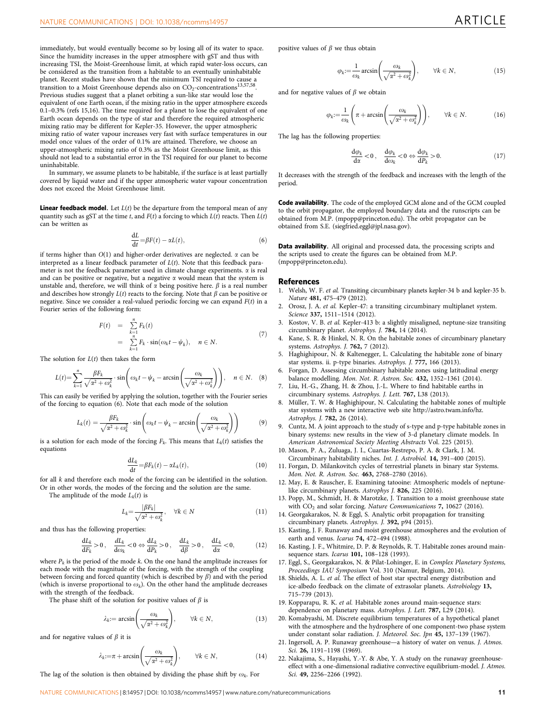<span id="page-10-0"></span>immediately, but would eventually become so by losing all of its water to space. Since the humidity increases in the upper atmosphere with gST and thus with increasing TSI, the Moist-Greenhouse limit, at which rapid water-loss occurs, can be considered as the transition from a habitable to an eventually uninhabitable planet. Recent studies have shown that the minimum TSI required to cause a transition to a Moist Greenhouse depends also on  $CO_2$ -concentrations<sup>13,57,58</sup>. Previous studies suggest that a planet orbiting a sun-like star would lose the equivalent of one Earth ocean, if the mixing ratio in the upper atmosphere exceeds 0.1–0.3% (refs 15,16). The time required for a planet to lose the equivalent of one Earth ocean depends on the type of star and therefore the required atmospheric mixing ratio may be different for Kepler-35. However, the upper atmospheric mixing ratio of water vapour increases very fast with surface temperatures in our model once values of the order of 0.1% are attained. Therefore, we choose an upper-atmospheric mixing ratio of 0.3% as the Moist Greenhouse limit, as this should not lead to a substantial error in the TSI required for our planet to become uninhabitable.

In summary, we assume planets to be habitable, if the surface is at least partially covered by liquid water and if the upper atmospheric water vapour concentration does not exceed the Moist Greenhouse limit.

**Linear feedback model.** Let  $L(t)$  be the departure from the temporal mean of any quantity such as gST at the time t, and  $F(t)$  a forcing to which  $L(t)$  reacts. Then  $L(t)$ can be written as

$$
\frac{\mathrm{d}L}{\mathrm{d}t} = \beta F(t) - \alpha L(t),\tag{6}
$$

if terms higher than  $O(1)$  and higher-order derivatives are neglected.  $\alpha$  can be interpreted as a linear feedback parameter of  $L(t)$ . Note that this feedback parameter is not the feedback parameter used in climate change experiments.  $\alpha$  is real and can be positive or negative, but a negative  $\alpha$  would mean that the system is unstable and, therefore, we will think of  $\alpha$  being positive here.  $\beta$  is a real number and describes how strongly  $L(t)$  reacts to the forcing. Note that  $\beta$  can be positive or negative. Since we consider a real-valued periodic forcing we can expand  $F(t)$  in a Fourier series of the following form:

$$
F(t) = \sum_{k=1}^{n} F_k(t)
$$
  
= 
$$
\sum_{k=1}^{n} F_k \cdot \sin(\omega_k t - \psi_k), \quad n \in \mathbb{N}.
$$
 (7)

The solution for  $L(t)$  then takes the form

$$
L(t) = \sum_{k=1}^{n} \frac{\beta F_k}{\sqrt{\alpha^2 + \omega_k^2}} \cdot \sin\left(\omega_k t - \psi_k - \arcsin\left(\frac{\omega_k}{\sqrt{\alpha^2 + \omega_k^2}}\right)\right), \quad n \in \mathbb{N}.
$$
 (8)

This can easily be verified by applying the solution, together with the Fourier series of the forcing to equation (6). Note that each mode of the solution

$$
L_k(t) = \frac{\beta F_k}{\sqrt{\alpha^2 + \omega_k^2}} \cdot \sin\left(\omega_k t - \psi_k - \arcsin\left(\frac{\omega_k}{\sqrt{\alpha^2 + \omega_k^2}}\right)\right) \tag{9}
$$

is a solution for each mode of the forcing  $F_k$ . This means that  $L_k(t)$  satisfies the equations

$$
\frac{\mathrm{d}L_k}{\mathrm{d}t} = \beta F_k(t) - \alpha L_k(t),\tag{10}
$$

for all k and therefore each mode of the forcing can be identified in the solution. Or in other words, the modes of the forcing and the solution are the same.

The amplitude of the mode  $L_k(t)$  is

$$
L_k = \frac{|\beta F_k|}{\sqrt{\alpha^2 + \omega_k^2}}, \quad \forall k \in \mathbb{N}
$$
\n(11)

and thus has the following properties:

$$
\frac{\mathrm{d}L_k}{\mathrm{d}F_k} > 0 \,, \quad \frac{\mathrm{d}L_k}{\mathrm{d}\omega_k} < 0 \Leftrightarrow \frac{\mathrm{d}L_k}{\mathrm{d}P_k} > 0 \,, \quad \frac{\mathrm{d}L_k}{\mathrm{d}\beta} > 0 \,, \quad \frac{\mathrm{d}L_k}{\mathrm{d}\alpha} < 0, \tag{12}
$$

where  $P_k$  is the period of the mode  $k$ . On the one hand the amplitude increases for each mode with the magnitude of the forcing, with the strength of the coupling between forcing and forced quantity (which is described by  $\beta$ ) and with the period (which is inverse proportional to  $\omega_k$ ). On the other hand the amplitude decreases with the strength of the feedback.

The phase shift of the solution for positive values of  $\beta$  is

$$
\lambda_k := \arcsin\left(\frac{\omega_k}{\sqrt{\alpha^2 + \omega_k^2}}\right), \qquad \forall k \in \mathbb{N},\tag{13}
$$

and for negative values of  $\beta$  it is

$$
\lambda_k := \pi + \arcsin\left(\frac{\omega_k}{\sqrt{\alpha^2 + \omega_k^2}}\right), \qquad \forall k \in N,
$$
\n(14)

The lag of the solution is then obtained by dividing the phase shift by  $\omega_k$ . For

positive values of  $\beta$  we thus obtain

$$
\varphi_k := \frac{1}{\omega_k} \arcsin\left(\frac{\omega_k}{\sqrt{\alpha^2 + \omega_k^2}}\right), \qquad \forall k \in \mathbb{N}, \tag{15}
$$

and for negative values of  $\beta$  we obtain

$$
\varphi_k := \frac{1}{\omega_k} \left( \pi + \arcsin\left(\frac{\omega_k}{\sqrt{\alpha^2 + \omega_k^2}}\right) \right), \qquad \forall k \in N. \tag{16}
$$

The lag has the following properties:

$$
\frac{d\varphi_k}{dx} < 0 \,, \quad \frac{d\varphi_k}{d\omega_k} < 0 \Leftrightarrow \frac{d\varphi_k}{dP_k} > 0. \tag{17}
$$

It decreases with the strength of the feedback and increases with the length of the period.

Code availability. The code of the employed GCM alone and of the GCM coupled to the orbit propagator, the employed boundary data and the runscripts can be obtained from M.P. (mpopp@princeton.edu). The orbit propagator can be obtained from S.E. (siegfried.eggl@jpl.nasa.gov).

Data availability. All original and processed data, the processing scripts and the scripts used to create the figures can be obtained from M.P. (mpopp@princeton.edu).

#### **References**

- 1. Welsh, W. F. et al. Transiting circumbinary planets kepler-34 b and kepler-35 b. Nature 481, 475–479 (2012).
- 2. Orosz, J. A. et al. Kepler-47: a transiting circumbinary multiplanet system. Science 337, 1511-1514 (2012).
- 3. Kostov, V. B. et al. Kepler-413 b: a slightly misaligned, neptune-size transiting circumbinary planet. Astrophys. J. 784, 14 (2014).
- 4. Kane, S. R. & Hinkel, N. R. On the habitable zones of circumbinary planetary systems. Astrophys. J. 762, 7 (2012).
- 5. Haghighipour, N. & Kaltenegger, L. Calculating the habitable zone of binary star systems. ii. p-type binaries. Astrophys. J. 777, 166 (2013).
- Forgan, D. Assessing circumbinary habitable zones using latitudinal energy balance modelling. Mon. Not. R. Astron. Soc. 432, 1352–1361 (2014).
- 7. Liu, H.-G., Zhang, H. & Zhou, J.-L. Where to find habitable earths in circumbinary systems. Astrophys. J. Lett. 767, L38 (2013).
- 8. Müller, T. W. & Haghighipour, N. Calculating the habitable zones of multiple star systems with a new interactive web site http://astro.twam.info/hz. Astrophys. J. 782, 26 (2014).
- 9. Cuntz, M. A joint approach to the study of s-type and p-type habitable zones in binary systems: new results in the view of 3-d planetary climate models. In American Astronomical Society Meeting Abstracts Vol. 225 (2015).
- 10. Mason, P. A., Zuluaga, J. I., Cuartas-Restrepo, P. A. & Clark, J. M. Circumbinary habitability niches. Int. J. Astrobiol. 14, 391–400 (2015).
- 11. Forgan, D. Milankovitch cycles of terrestrial planets in binary star Systems. Mon. Not. R. Astron. Soc. 463, 2768–2780 (2016).
- 12. May, E. & Rauscher, E. Examining tatooine: Atmospheric models of neptunelike circumbinary planets. Astrophys J. 826, 225 (2016).
- 13. Popp, M., Schmidt, H. & Marotzke, J. Transition to a moist greenhouse state with CO<sub>2</sub> and solar forcing. Nature Communications 7, 10627 (2016).
- 14. Georgakarakos, N. & Eggl, S. Analytic orbit propagation for transiting circumbinary planets. Astrophys. J. 392, p94 (2015).
- 15. Kasting, J. F. Runaway and moist greenhouse atmospheres and the evolution of earth and venus. Icarus 74, 472–494 (1988).
- 16. Kasting, J. F., Whitmire, D. P. & Reynolds, R. T. Habitable zones around mainsequence stars. Icarus 101, 108-128 (1993).
- 17. Eggl, S., Georgakarakos, N. & Pilat-Lohinger, E. in Complex Planetary Systems, Proceedings IAU Symposium Vol. 310 (Namur, Belgium, 2014).
- 18. Shields, A. L. et al. The effect of host star spectral energy distribution and ice-albedo feedback on the climate of extrasolar planets. Astrobiology 13, 715–739 (2013).
- 19. Kopparapu, R. K. et al. Habitable zones around main-sequence stars: dependence on planetary mass. Astrophys. J. Lett. 787, L29 (2014).
- 20. Komabyashi, M. Discrete equilibrium temperatures of a hypothetical planet with the atmosphere and the hydrosphere of one component-two phase system under constant solar radiation. J. Meteorol. Soc. Jpn 45, 137–139 (1967).
- 21. Ingersoll, A. P. Runaway greenhouse—a history of water on venus. J. Atmos. Sci. 26, 1191-1198 (1969).
- 22. Nakajima, S., Hayashi, Y.-Y. & Abe, Y. A study on the runaway greenhouseeffect with a one-dimensional radiative convective equilibrium-model. J. Atmos. Sci. 49, 2256–2266 (1992).